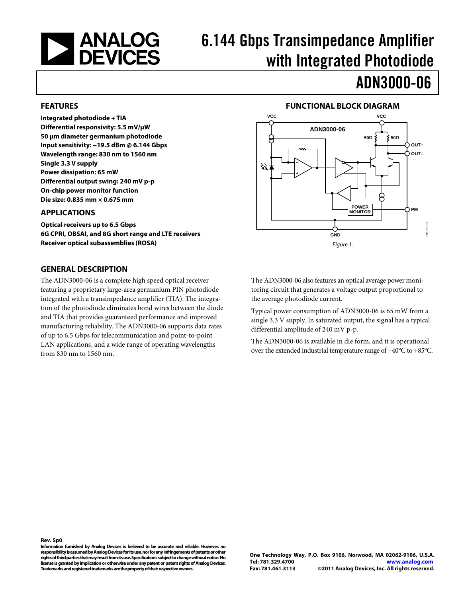

# 6.144 Gbps Transimpedance Amplifier with Integrated Photodiode

## ADN3000-06

#### **FEATURES**

**Integrated photodiode + TIA Differential responsivity: 5.5 mV/µW 50 µm diameter germanium photodiode Input sensitivity: −19.5 dBm @ 6.144 Gbps Wavelength range: 830 nm to 1560 nm Single 3.3 V supply Power dissipation: 65 mW Differential output swing: 240 mV p-p On-chip power monitor function Die size: 0.835 mm × 0.675 mm**

#### **APPLICATIONS**

**Optical receivers up to 6.5 Gbps 6G CPRI, OBSAI, and 8G short range and LTE receivers Receiver optical subassemblies (ROSA)**

#### **GENERAL DESCRIPTION**

The ADN3000-06 is a complete high speed optical receiver featuring a proprietary large-area germanium PIN photodiode integrated with a transimpedance amplifier (TIA). The integration of the photodiode eliminates bond wires between the diode and TIA that provides guaranteed performance and improved manufacturing reliability. The ADN3000-06 supports data rates of up to 6.5 Gbps for telecommunication and point-to-point LAN applications, and a wide range of operating wavelengths from 830 nm to 1560 nm.

#### **FUNCTIONAL BLOCK DIAGRAM**



The ADN3000-06 also features an optical average power monitoring circuit that generates a voltage output proportional to the average photodiode current.

Typical power consumption of ADN3000-06 is 65 mW from a single 3.3 V supply. In saturated output, the signal has a typical differential amplitude of 240 mV p-p.

The ADN3000-06 is available in die form, and it is operational over the extended industrial temperature range of −40°C to +85°C.

**Information furnished by Analog Devices is believed to be accurate and reliable. However, no responsibility is assumed by Analog Devices for its use, nor for any infringements of patents or other rights of third parties that may result from its use. Specifications subject to change without notice. No license is granted by implication or otherwise under any patent or patent rights of Analog Devices. Trademarks and registered trademarks are the property of their respective owners.**